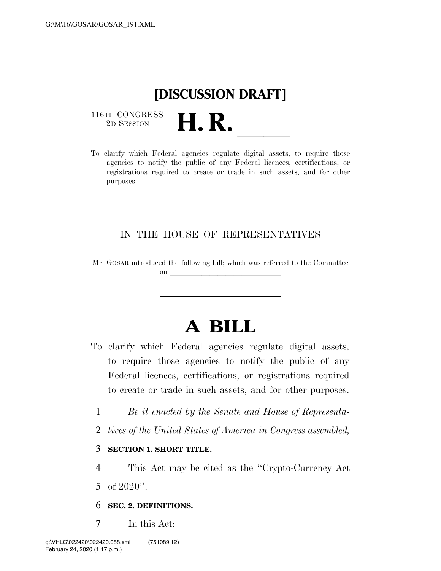## **[DISCUSSION DRAFT]**

 $\begin{array}{c} \textbf{116TH CONGRESS} \\ \textbf{2D SESION} \end{array}$ 

116TH CONGRESS<br>
2D SESSION<br>
To clarify which Federal agencies regulate digital assets, to require those agencies to notify the public of any Federal licences, certifications, or registrations required to create or trade in such assets, and for other purposes.

#### IN THE HOUSE OF REPRESENTATIVES

Mr. GOSAR introduced the following bill; which was referred to the Committee on llet  $\Omega$ 

# **A BILL**

- To clarify which Federal agencies regulate digital assets, to require those agencies to notify the public of any Federal licences, certifications, or registrations required to create or trade in such assets, and for other purposes.
	- 1 *Be it enacted by the Senate and House of Representa-*
	- 2 *tives of the United States of America in Congress assembled,*

#### 3 **SECTION 1. SHORT TITLE.**

- 4 This Act may be cited as the ''Crypto-Currency Act
- 5 of 2020''.
- 6 **SEC. 2. DEFINITIONS.**
- 7 In this Act: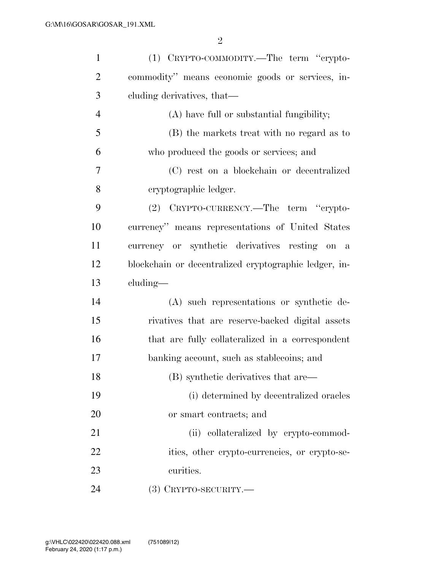| $\mathbf{1}$   | (1) CRYPTO-COMMODITY.—The term "crypto-               |
|----------------|-------------------------------------------------------|
| $\overline{2}$ | commodity" means economic goods or services, in-      |
| 3              | cluding derivatives, that—                            |
| $\overline{4}$ | (A) have full or substantial fungibility;             |
| 5              | (B) the markets treat with no regard as to            |
| 6              | who produced the goods or services; and               |
| 7              | (C) rest on a blockchain or decentralized             |
| 8              | eryptographic ledger.                                 |
| 9              | (2) CRYPTO-CURRENCY.—The term "crypto-                |
| 10             | currency" means representations of United States      |
| 11             | currency or synthetic derivatives resting on a        |
| 12             | blockchain or decentralized cryptographic ledger, in- |
| 13             | cluding—                                              |
| 14             | (A) such representations or synthetic de-             |
| 15             | rivatives that are reserve-backed digital assets      |
| 16             | that are fully collateralized in a correspondent      |
| 17             | banking account, such as stablecoins; and             |
| 18             | (B) synthetic derivatives that are—                   |
| 19             | (i) determined by decentralized oracles               |
| 20             | or smart contracts; and                               |
| 21             | (ii) collateralized by crypto-commod-                 |
| 22             | ities, other crypto-currencies, or crypto-se-         |
| 23             | curities.                                             |
| 24             | $(3)$ CRYPTO-SECURITY.—                               |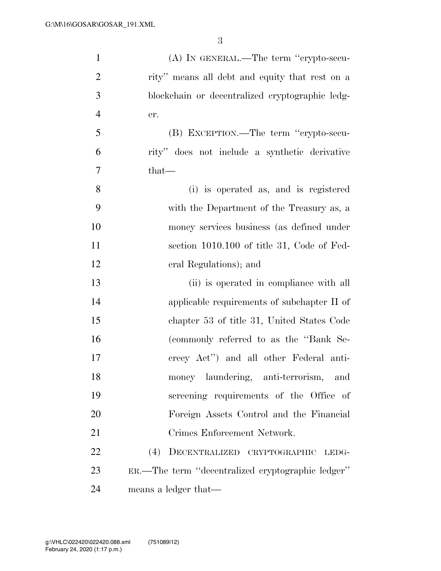| $\mathbf{1}$   | (A) IN GENERAL.—The term "crypto-secu-            |
|----------------|---------------------------------------------------|
| $\overline{2}$ | rity" means all debt and equity that rest on a    |
| 3              | blockchain or decentralized cryptographic ledg-   |
| $\overline{4}$ | er.                                               |
| 5              | (B) EXCEPTION.—The term "crypto-secu-             |
| 6              | rity" does not include a synthetic derivative     |
| 7              | that—                                             |
| 8              | (i) is operated as, and is registered             |
| 9              | with the Department of the Treasury as, a         |
| 10             | money services business (as defined under         |
| 11             | section 1010.100 of title 31, Code of Fed-        |
| 12             | eral Regulations); and                            |
| 13             | (ii) is operated in compliance with all           |
| 14             | applicable requirements of subchapter II of       |
| 15             | chapter 53 of title 31, United States Code        |
| 16             | (commonly referred to as the "Bank Se-            |
| 17             | crecy Act") and all other Federal anti-           |
| 18             | money laundering, anti-terrorism,<br>, and        |
| 19             | screening requirements of the Office of           |
| 20             | Foreign Assets Control and the Financial          |
| 21             | Crimes Enforcement Network.                       |
| 22             | (4)<br>DECENTRALIZED CRYPTOGRAPHIC<br>LEDG-       |
| 23             | ER.—The term "decentralized cryptographic ledger" |
| 24             | means a ledger that—                              |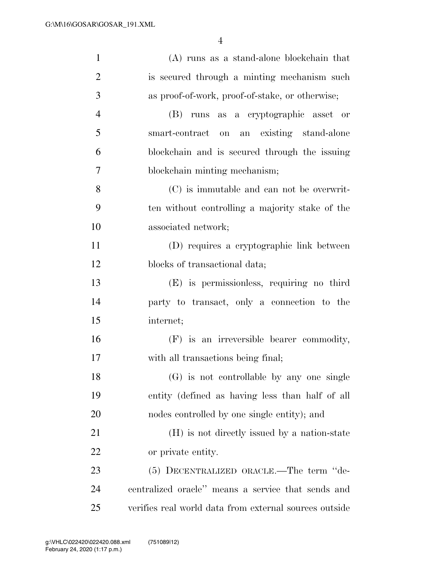| $\mathbf{1}$   | (A) runs as a stand-alone blockchain that              |
|----------------|--------------------------------------------------------|
| $\overline{2}$ | is secured through a minting mechanism such            |
| 3              | as proof-of-work, proof-of-stake, or otherwise;        |
| $\overline{4}$ | (B) runs as a cryptographic asset or                   |
| 5              | an existing stand-alone<br>smart-contract on           |
| 6              | blockchain and is secured through the issuing          |
| 7              | blockchain minting mechanism;                          |
| 8              | (C) is immutable and can not be overwrit-              |
| 9              | ten without controlling a majority stake of the        |
| 10             | associated network;                                    |
| 11             | (D) requires a cryptographic link between              |
| 12             | blocks of transactional data;                          |
| 13             | (E) is permissionless, requiring no third              |
| 14             | party to transact, only a connection to the            |
| 15             | internet;                                              |
| 16             | (F) is an irreversible bearer commodity,               |
| 17             | with all transactions being final;                     |
| 18             | (G) is not controllable by any one single              |
| 19             | entity (defined as having less than half of all        |
| 20             | nodes controlled by one single entity); and            |
| 21             | (H) is not directly issued by a nation-state           |
| 22             | or private entity.                                     |
| 23             | (5) DECENTRALIZED ORACLE.—The term "de-                |
| 24             | centralized oracle" means a service that sends and     |
| 25             | verifies real world data from external sources outside |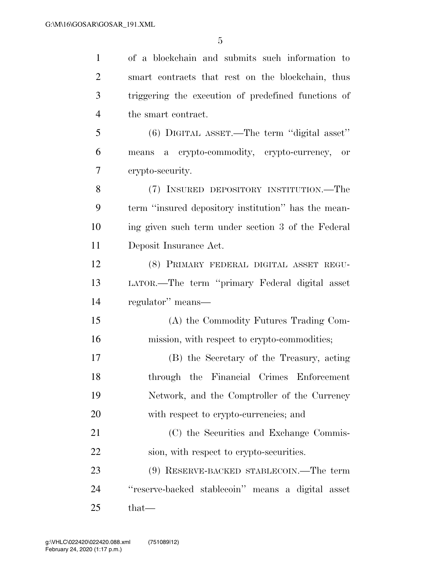| $\mathbf{1}$   | of a blockchain and submits such information to     |
|----------------|-----------------------------------------------------|
| $\overline{2}$ | smart contracts that rest on the blockchain, thus   |
| 3              | triggering the execution of predefined functions of |
| $\overline{4}$ | the smart contract.                                 |
| 5              | $(6)$ DIGITAL ASSET.—The term "digital asset"       |
| 6              | means a crypto-commodity, crypto-currency,<br>or    |
| 7              | crypto-security.                                    |
| 8              | (7) INSURED DEPOSITORY INSTITUTION.—The             |
| 9              | term "insured depository institution" has the mean- |
| 10             | ing given such term under section 3 of the Federal  |
| 11             | Deposit Insurance Act.                              |
| 12             | (8) PRIMARY FEDERAL DIGITAL ASSET REGU-             |
| 13             | LATOR.—The term "primary Federal digital asset      |
| 14             | regulator" means—                                   |
| 15             | (A) the Commodity Futures Trading Com-              |
| 16             | mission, with respect to crypto-commodities;        |
| 17             | (B) the Secretary of the Treasury, acting           |
| 18             | through the Financial Crimes Enforcement            |
| 19             | Network, and the Comptroller of the Currency        |
| 20             | with respect to crypto-currencies; and              |
| 21             | (C) the Securities and Exchange Commis-             |
| 22             | sion, with respect to crypto-securities.            |
| 23             | (9) RESERVE-BACKED STABLECOIN.—The term             |
| 24             | "reserve-backed stablecoin" means a digital asset   |
| 25             | $that-$                                             |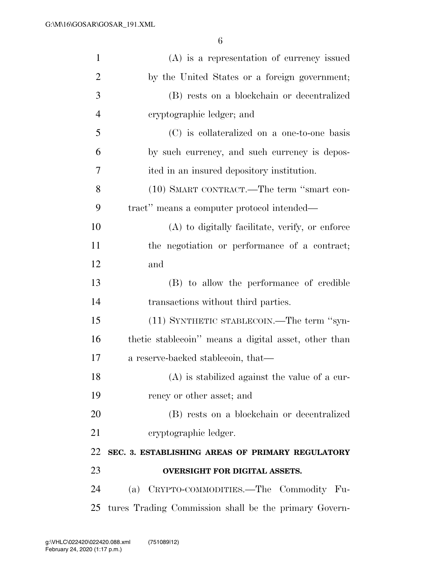| $\mathbf{1}$   | $(A)$ is a representation of currency issued          |
|----------------|-------------------------------------------------------|
| $\overline{2}$ | by the United States or a foreign government;         |
| 3              | (B) rests on a blockchain or decentralized            |
| $\overline{4}$ | eryptographic ledger; and                             |
| 5              | (C) is collateralized on a one-to-one basis           |
| 6              | by such currency, and such currency is depos-         |
| 7              | ited in an insured depository institution.            |
| 8              | (10) SMART CONTRACT.—The term "smart con-             |
| 9              | tract" means a computer protocol intended—            |
| 10             | (A) to digitally facilitate, verify, or enforce       |
| 11             | the negotiation or performance of a contract;         |
| 12             | and                                                   |
| 13             | (B) to allow the performance of credible              |
| 14             | transactions without third parties.                   |
| 15             | (11) SYNTHETIC STABLECOIN.—The term "syn-             |
| 16             | thetic stablecoin" means a digital asset, other than  |
| 17             | a reserve-backed stablecoin, that—                    |
| 18             | (A) is stabilized against the value of a cur-         |
| 19             | rency or other asset; and                             |
| 20             | (B) rests on a blockchain or decentralized            |
| 21             | cryptographic ledger.                                 |
| 22             | SEC. 3. ESTABLISHING AREAS OF PRIMARY REGULATORY      |
| 23             | <b>OVERSIGHT FOR DIGITAL ASSETS.</b>                  |
| 24             | CRYPTO-COMMODITIES.—The Commodity Fu-<br>(a)          |
| 25             | tures Trading Commission shall be the primary Govern- |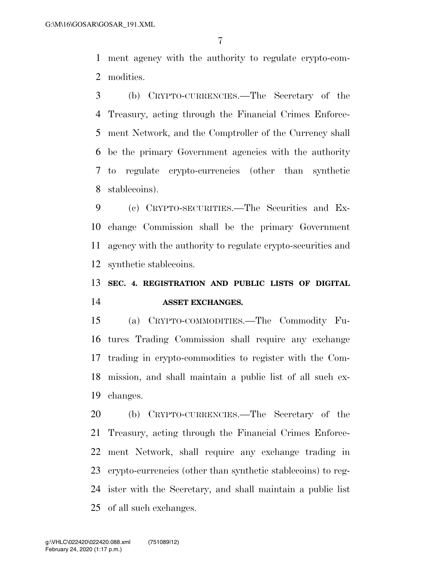ment agency with the authority to regulate crypto-com-modities.

 (b) CRYPTO-CURRENCIES.—The Secretary of the Treasury, acting through the Financial Crimes Enforce- ment Network, and the Comptroller of the Currency shall be the primary Government agencies with the authority to regulate crypto-currencies (other than synthetic stablecoins).

 (c) CRYPTO-SECURITIES.—The Securities and Ex- change Commission shall be the primary Government agency with the authority to regulate crypto-securities and synthetic stablecoins.

### **SEC. 4. REGISTRATION AND PUBLIC LISTS OF DIGITAL ASSET EXCHANGES.**

 (a) CRYPTO-COMMODITIES.—The Commodity Fu- tures Trading Commission shall require any exchange trading in crypto-commodities to register with the Com- mission, and shall maintain a public list of all such ex-changes.

 (b) CRYPTO-CURRENCIES.—The Secretary of the Treasury, acting through the Financial Crimes Enforce- ment Network, shall require any exchange trading in crypto-currencies (other than synthetic stablecoins) to reg- ister with the Secretary, and shall maintain a public list of all such exchanges.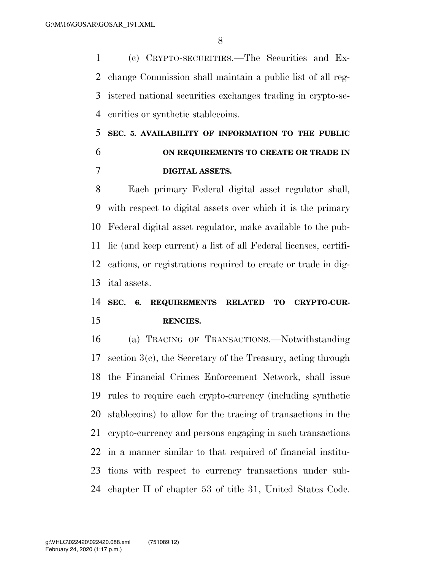(c) CRYPTO-SECURITIES.—The Securities and Ex- change Commission shall maintain a public list of all reg- istered national securities exchanges trading in crypto-se-curities or synthetic stablecoins.

### **SEC. 5. AVAILABILITY OF INFORMATION TO THE PUBLIC ON REQUIREMENTS TO CREATE OR TRADE IN DIGITAL ASSETS.**

 Each primary Federal digital asset regulator shall, with respect to digital assets over which it is the primary Federal digital asset regulator, make available to the pub- lic (and keep current) a list of all Federal licenses, certifi- cations, or registrations required to create or trade in dig-ital assets.

### **SEC. 6. REQUIREMENTS RELATED TO CRYPTO-CUR-RENCIES.**

 (a) TRACING OF TRANSACTIONS.—Notwithstanding section 3(c), the Secretary of the Treasury, acting through the Financial Crimes Enforcement Network, shall issue rules to require each crypto-currency (including synthetic stablecoins) to allow for the tracing of transactions in the crypto-currency and persons engaging in such transactions in a manner similar to that required of financial institu- tions with respect to currency transactions under sub-chapter II of chapter 53 of title 31, United States Code.